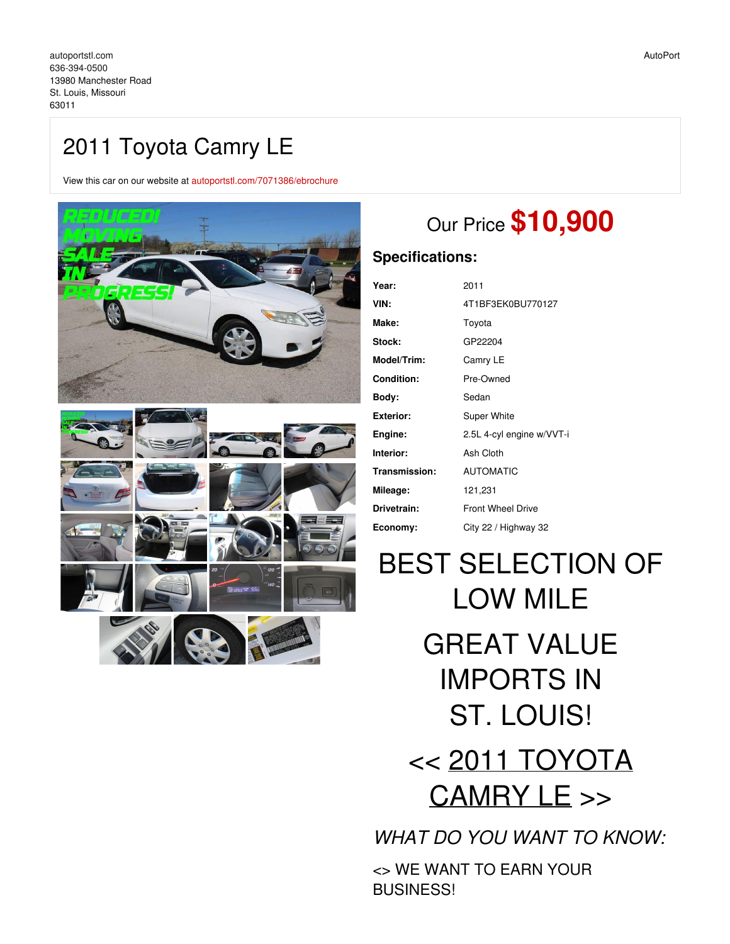# 2011 Toyota Camry LE

View this car on our website at [autoportstl.com/7071386/ebrochure](https://autoportstl.com/vehicle/7071386/2011-toyota-camry-le-st-louis-missouri-63011/7071386/ebrochure)



# Our Price **\$10,900**

# **Specifications:**

| Year:         | 2011                      |
|---------------|---------------------------|
| VIN:          | 4T1BF3EK0BU770127         |
| Make:         | Toyota                    |
| <b>Stock:</b> | GP22204                   |
| Model/Trim:   | Camry LE                  |
| Condition:    | Pre-Owned                 |
| Body:         | Sedan                     |
| Exterior:     | Super White               |
| Engine:       | 2.5L 4-cyl engine w/VVT-i |
| Interior:     | Ash Cloth                 |
| Transmission: | <b>AUTOMATIC</b>          |
| Mileage:      | 121,231                   |
| Drivetrain:   | <b>Front Wheel Drive</b>  |
| Economy:      | City 22 / Highway 32      |
|               |                           |

BEST SELECTION OF LOW MILE GREAT VALUE IMPORTS IN ST. LOUIS! << 2011 TOYOTA CAMRY LE >>

*WHAT DO YOU WANT TO KNOW:*

<> WE WANT TO EARN YOUR BUSINESS!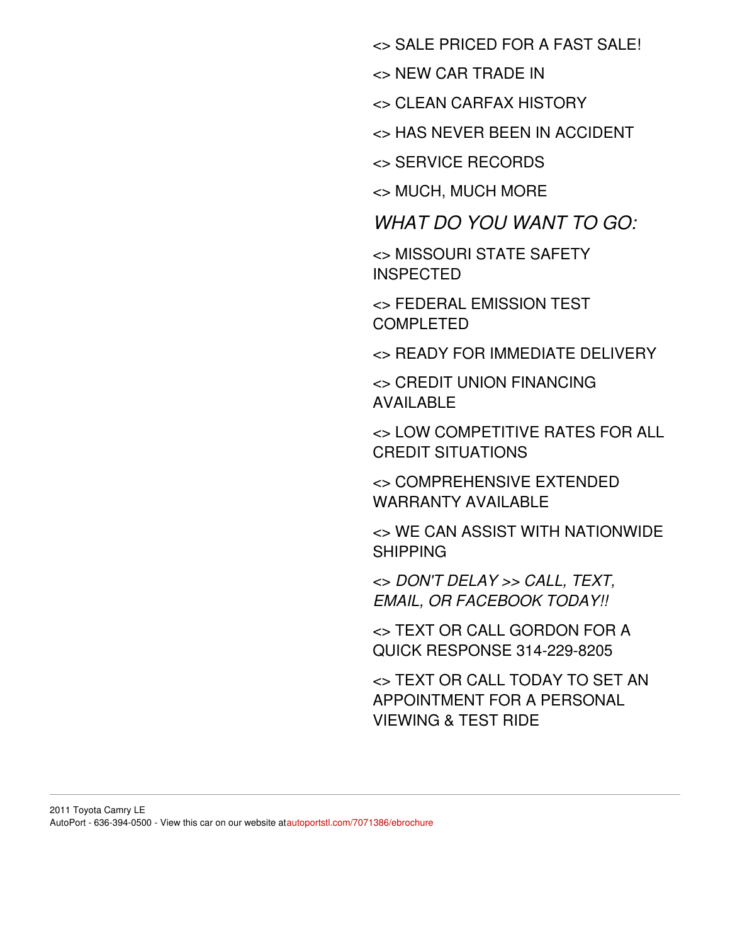<> SALE PRICED FOR A FAST SALE!

<> NEW CAR TRADE IN

<> CLEAN CARFAX HISTORY

<> HAS NEVER BEEN IN ACCIDENT

<> SERVICE RECORDS

<> MUCH, MUCH MORE

*WHAT DO YOU WANT TO GO:*

<> MISSOURI STATE SAFETY INSPECTED

<> FEDERAL EMISSION TEST COMPI FTED

<> READY FOR IMMEDIATE DELIVERY

<> CREDIT UNION FINANCING AVAILABLE

<> LOW COMPETITIVE RATES FOR ALL CREDIT SITUATIONS

<> COMPREHENSIVE EXTENDED WARRANTY AVAILABLE

<> WE CAN ASSIST WITH NATIONWIDE SHIPPING

<> *DON'T DELAY >> CALL, TEXT, EMAIL, OR FACEBOOK TODAY!!*

<> TEXT OR CALL GORDON FOR A QUICK RESPONSE 314-229-8205

<> TEXT OR CALL TODAY TO SET AN APPOINTMENT FOR A PERSONAL VIEWING & TEST RIDE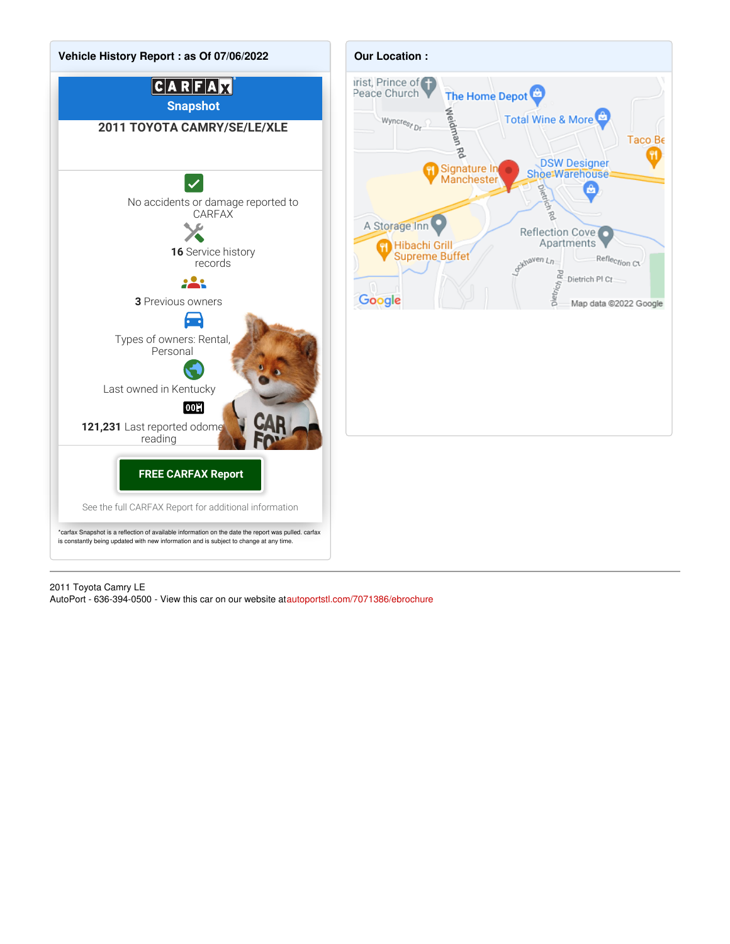

2011 Toyota Camry LE

AutoPort - 636-394-0500 - View this car on our website a[tautoportstl.com/7071386/ebrochure](https://autoportstl.com/vehicle/7071386/2011-toyota-camry-le-st-louis-missouri-63011/7071386/ebrochure)